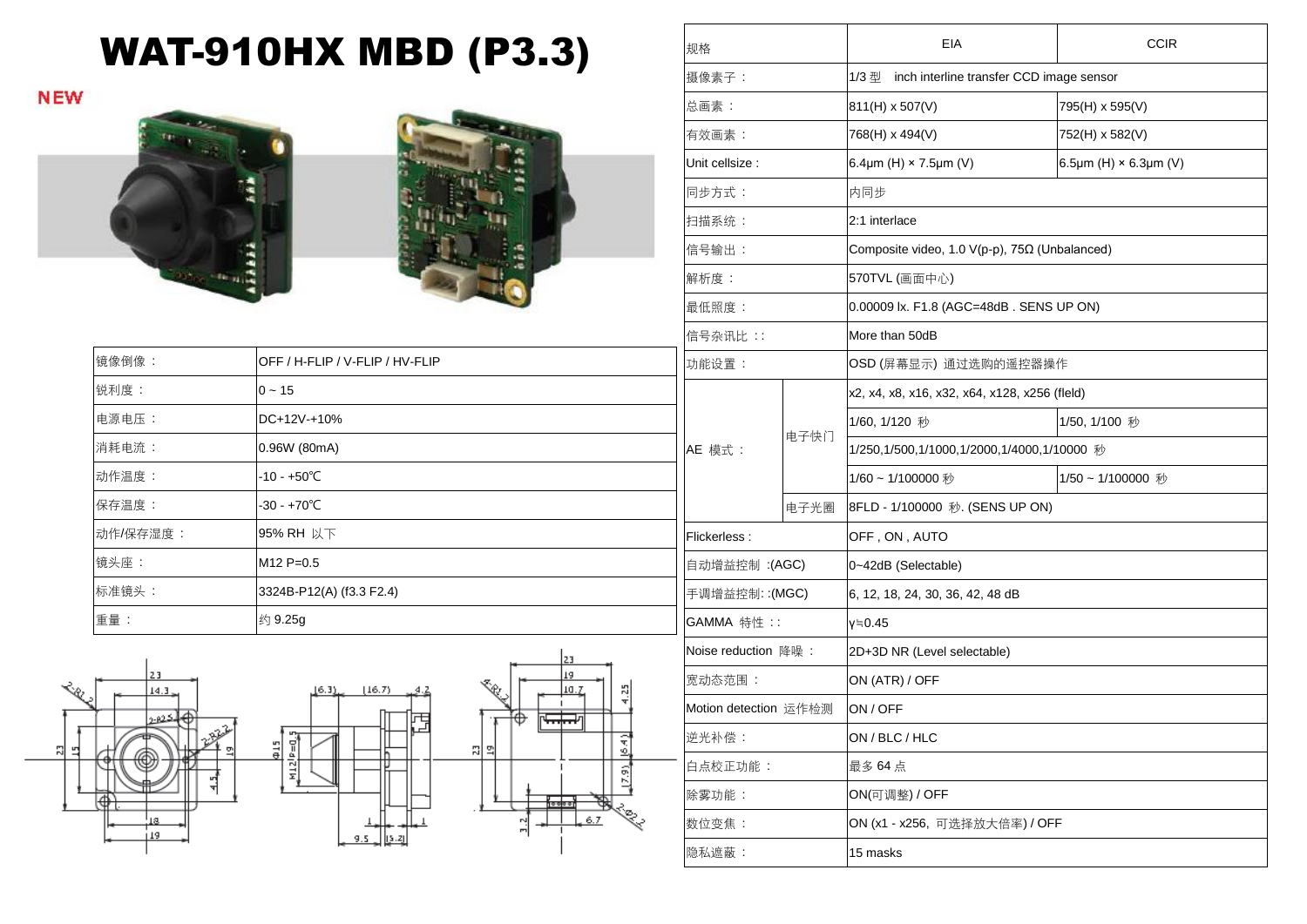## WAT-910HX MBD (P3.3)

**NEW** 





| 镜像倒像 :   | OFF / H-FLIP / V-FLIP / HV-FLIP | 功     |
|----------|---------------------------------|-------|
| 锐利度:     | $0 - 15$                        |       |
| 电源电压:    | DC+12V-+10%                     |       |
| 消耗电流:    | 0.96W (80mA)                    | AE    |
| 动作温度:    | $-10 - +50^{\circ}$ C           |       |
| 保存温度:    | $-30 - +70^{\circ}C$            |       |
| 动作/保存湿度: | 95% RH 以下                       | l Fli |
| 镜头座:     | $M12 P=0.5$                     | 自     |
| 标准镜头:    | 3324B-P12(A) (f3.3 F2.4)        | 手     |
| 重量:      | 约 9.25g                         | G/    |

16.35

 $412^{p}=0.5$ 

빏





| 规格                    |      | EIA                                               | <b>CCIR</b>                  |  |
|-----------------------|------|---------------------------------------------------|------------------------------|--|
| 摄像素子:                 |      | inch interline transfer CCD image sensor<br>1/3 型 |                              |  |
| 总画素:                  |      | 811(H) x 507(V)                                   | 795(H) x 595(V)              |  |
| 有效画素:                 |      | 768(H) x 494(V)                                   | 752(H) x 582(V)              |  |
| Unit cellsize :       |      | 6.4 $\mu$ m (H) × 7.5 $\mu$ m (V)                 | 6.5µm (H) $\times$ 6.3µm (V) |  |
| 同步方式:                 |      | 内同步                                               |                              |  |
| 扫描系统:                 |      | 2:1 interlace                                     |                              |  |
| 信号输出:                 |      | Composite video, 1.0 V(p-p), 75Ω (Unbalanced)     |                              |  |
| 解析度:                  |      | 570TVL (画面中心)                                     |                              |  |
| 最低照度:                 |      | 0.00009 lx. F1.8 (AGC=48dB. SENS UP ON)           |                              |  |
| 信号杂讯比::               |      | More than 50dB                                    |                              |  |
| 功能设置:                 |      | OSD (屏幕显示) 通过选购的遥控器操作                             |                              |  |
| AE 模式:                |      | x2, x4, x8, x16, x32, x64, x128, x256 (fleld)     |                              |  |
|                       | 电子快门 | 1/60, 1/120 秒                                     | 1/50, 1/100 秒                |  |
|                       |      | 1/250,1/500,1/1000,1/2000,1/4000,1/10000 秒        |                              |  |
|                       |      | 1/60~1/100000秒                                    | 1/50~1/100000 秒              |  |
|                       | 电子光圈 | 8FLD - 1/100000 秒. (SENS UP ON)                   |                              |  |
| Flickerless:          |      | OFF, ON, AUTO                                     |                              |  |
| 自动增益控制 :(AGC)         |      | 0~42dB (Selectable)                               |                              |  |
| 手调增益控制:(MGC)          |      | 6, 12, 18, 24, 30, 36, 42, 48 dB                  |                              |  |
| GAMMA 特性 ::           |      | γ≒0.45                                            |                              |  |
| Noise reduction 降噪:   |      | 2D+3D NR (Level selectable)                       |                              |  |
| 宽动态范围:                |      | ON (ATR) / OFF                                    |                              |  |
| Motion detection 运作检测 |      | ON / OFF                                          |                              |  |
| 逆光补偿:                 |      | ON / BLC / HLC                                    |                              |  |
| 白点校正功能:               |      | 最多 64点                                            |                              |  |
| 除雾功能:                 |      | ON(可调整) / OFF                                     |                              |  |
| 数位变焦:                 |      | ON (x1 - x256, 可选择放大倍率) / OFF                     |                              |  |
| 隐私遮蔽:                 |      | 15 masks                                          |                              |  |